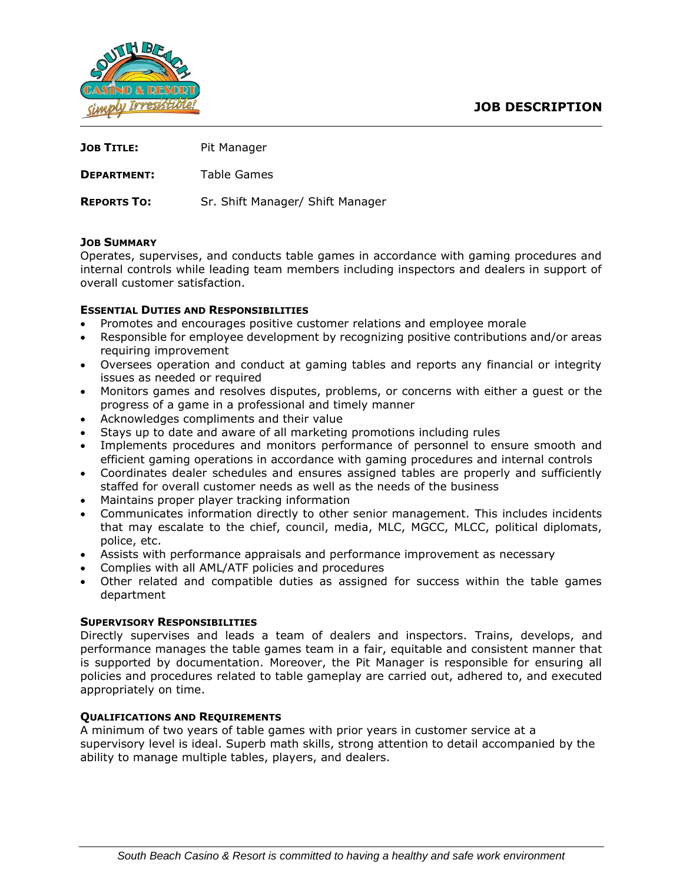

| <b>JOB TITLE:</b>  | Pit Manager                      |
|--------------------|----------------------------------|
| <b>DEPARTMENT:</b> | Table Games                      |
| <b>REPORTS TO:</b> | Sr. Shift Manager/ Shift Manager |

## **JOB SUMMARY**

Operates, supervises, and conducts table games in accordance with gaming procedures and internal controls while leading team members including inspectors and dealers in support of overall customer satisfaction.

## **ESSENTIAL DUTIES AND RESPONSIBILITIES**

- Promotes and encourages positive customer relations and employee morale
- Responsible for employee development by recognizing positive contributions and/or areas requiring improvement
- Oversees operation and conduct at gaming tables and reports any financial or integrity issues as needed or required
- Monitors games and resolves disputes, problems, or concerns with either a guest or the progress of a game in a professional and timely manner
- Acknowledges compliments and their value
- Stays up to date and aware of all marketing promotions including rules
- Implements procedures and monitors performance of personnel to ensure smooth and efficient gaming operations in accordance with gaming procedures and internal controls
- Coordinates dealer schedules and ensures assigned tables are properly and sufficiently staffed for overall customer needs as well as the needs of the business
- Maintains proper player tracking information
- Communicates information directly to other senior management. This includes incidents that may escalate to the chief, council, media, MLC, MGCC, MLCC, political diplomats, police, etc.
- Assists with performance appraisals and performance improvement as necessary
- Complies with all AML/ATF policies and procedures
- Other related and compatible duties as assigned for success within the table games department

## **SUPERVISORY RESPONSIBILITIES**

Directly supervises and leads a team of dealers and inspectors. Trains, develops, and performance manages the table games team in a fair, equitable and consistent manner that is supported by documentation. Moreover, the Pit Manager is responsible for ensuring all policies and procedures related to table gameplay are carried out, adhered to, and executed appropriately on time.

# **QUALIFICATIONS AND REQUIREMENTS**

A minimum of two years of table games with prior years in customer service at a supervisory level is ideal. Superb math skills, strong attention to detail accompanied by the ability to manage multiple tables, players, and dealers.